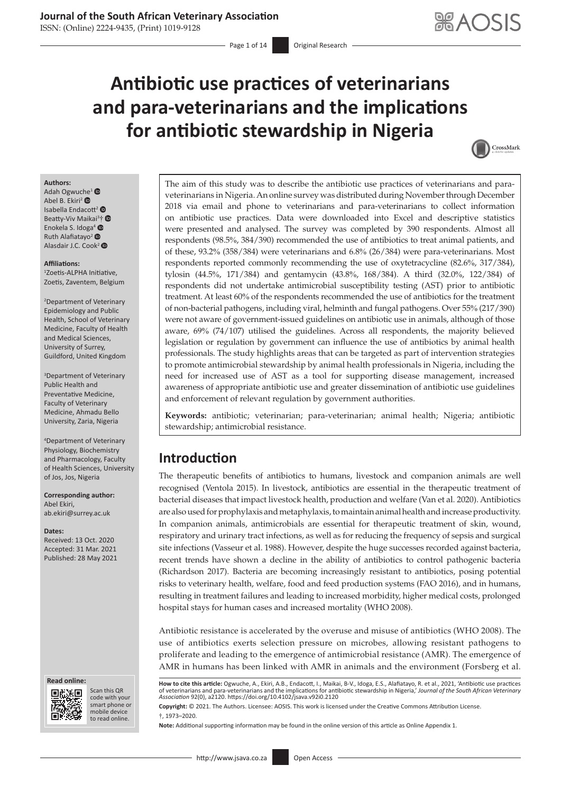ISSN: (Online) 2224-9435, (Print) 1019-9128

# **Antibiotic use practices of veterinarians and para-veterinarians and the implications for antibiotic stewardship in Nigeria**



#### **Authors:**

Adah Ogwuc[he](https://orcid.org/0000-0001-9758-808X)<sup>[1](https://orcid.org/0000-0002-3284-342X)</sup> Abel B. Ekiri<sup>2</sup> Isabella Endacott<sup>[2](https://orcid.org/0000-0003-1511-3561)</sup> Beatty-Viv Maikai<sup>3</sup>[†](https://orcid.org/0000-0002-9775-9907) Enokela S. Idoga<sup>[4](https://orcid.org/0000-0002-5955-8784)</sup> <sup>O</sup> Ruth Alafiatayo<sup>[2](https://orcid.org/0000-0002-6506-9872)</sup> Alasdair J.C. Cook<sup>2</sup>

#### **Affiliations:**

1 Zoetis-ALPHA Initiative, Zoetis, Zaventem, Belgium

2 Department of Veterinary Epidemiology and Public Health, School of Veterinary Medicine, Faculty of Health and Medical Sciences, University of Surrey, Guildford, United Kingdom

3 Department of Veterinary Public Health and Preventative Medicine, Faculty of Veterinary Medicine, Ahmadu Bello University, Zaria, Nigeria

4 Department of Veterinary Physiology, Biochemistry and Pharmacology, Faculty of Health Sciences, University of Jos, Jos, Nigeria

**Corresponding author:** Abel Ekiri, [ab.ekiri@surrey.ac.uk](mailto:ab.ekiri@surrey.ac.uk)

#### **Dates:**

Received: 13 Oct. 2020 Accepted: 31 Mar. 2021 Published: 28 May 2021

#### **Read online: Read online:**



Scan this QR code with your Scan this QR<br>code with your<br>smart phone or<br>mobile device mobile device to read online. to read online.

The aim of this study was to describe the antibiotic use practices of veterinarians and paraveterinarians in Nigeria. An online survey was distributed during November through December 2018 via email and phone to veterinarians and para-veterinarians to collect information on antibiotic use practices. Data were downloaded into Excel and descriptive statistics were presented and analysed. The survey was completed by 390 respondents. Almost all respondents (98.5%, 384/390) recommended the use of antibiotics to treat animal patients, and of these, 93.2% (358/384) were veterinarians and 6.8% (26/384) were para-veterinarians. Most respondents reported commonly recommending the use of oxytetracycline (82.6%, 317/384), tylosin (44.5%, 171/384) and gentamycin (43.8%, 168/384). A third (32.0%, 122/384) of respondents did not undertake antimicrobial susceptibility testing (AST) prior to antibiotic treatment. At least 60% of the respondents recommended the use of antibiotics for the treatment of non-bacterial pathogens, including viral, helminth and fungal pathogens. Over 55% (217/390) were not aware of government-issued guidelines on antibiotic use in animals, although of those aware, 69% (74/107) utilised the guidelines. Across all respondents, the majority believed legislation or regulation by government can influence the use of antibiotics by animal health professionals. The study highlights areas that can be targeted as part of intervention strategies to promote antimicrobial stewardship by animal health professionals in Nigeria, including the need for increased use of AST as a tool for supporting disease management, increased awareness of appropriate antibiotic use and greater dissemination of antibiotic use guidelines and enforcement of relevant regulation by government authorities.

**Keywords:** antibiotic; veterinarian; para-veterinarian; animal health; Nigeria; antibiotic stewardship; antimicrobial resistance.

# **Introduction**

The therapeutic benefits of antibiotics to humans, livestock and companion animals are well recognised (Ventola 2015). In livestock, antibiotics are essential in the therapeutic treatment of bacterial diseases that impact livestock health, production and welfare (Van et al. 2020). Antibiotics are also used for prophylaxis and metaphylaxis, to maintain animal health and increase productivity. In companion animals, antimicrobials are essential for therapeutic treatment of skin, wound, respiratory and urinary tract infections, as well as for reducing the frequency of sepsis and surgical site infections (Vasseur et al. 1988). However, despite the huge successes recorded against bacteria, recent trends have shown a decline in the ability of antibiotics to control pathogenic bacteria (Richardson 2017). Bacteria are becoming increasingly resistant to antibiotics, posing potential risks to veterinary health, welfare, food and feed production systems (FAO 2016), and in humans, resulting in treatment failures and leading to increased morbidity, higher medical costs, prolonged hospital stays for human cases and increased mortality (WHO 2008).

Antibiotic resistance is accelerated by the overuse and misuse of antibiotics (WHO 2008). The use of antibiotics exerts selection pressure on microbes, allowing resistant pathogens to proliferate and leading to the emergence of antimicrobial resistance (AMR). The emergence of AMR in humans has been linked with AMR in animals and the environment (Forsberg et al.

**How to cite this article:** Ogwuche, A., Ekiri, A.B., Endacott, I., Maikai, B-V., Idoga, E.S., Alafiatayo, R. et al., 2021, 'Antibiotic use practices<br>of veterinarians and para-veterinarians and the implications for antibio *Association* 92(0), a2120. <https://doi.org/10.4102/jsava.v92i0.2120>

**Copyright:** © 2021. The Authors. Licensee: AOSIS. This work is licensed under the Creative Commons Attribution License. †, 1973–2020.

**Note:** Additional supporting information may be found in the online version of this article as Online Appendix 1.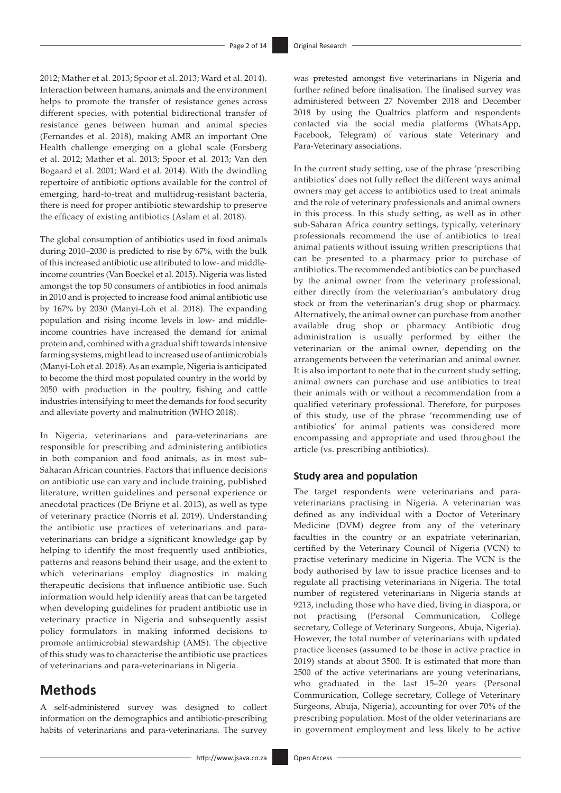2012; Mather et al. 2013; Spoor et al. 2013; Ward et al. 2014). Interaction between humans, animals and the environment helps to promote the transfer of resistance genes across different species, with potential bidirectional transfer of resistance genes between human and animal species (Fernandes et al. 2018), making AMR an important One Health challenge emerging on a global scale (Forsberg et al. 2012; Mather et al. 2013; Spoor et al. 2013; Van den Bogaard et al. 2001; Ward et al. 2014). With the dwindling repertoire of antibiotic options available for the control of emerging, hard-to-treat and multidrug-resistant bacteria, there is need for proper antibiotic stewardship to preserve the efficacy of existing antibiotics (Aslam et al. 2018).

The global consumption of antibiotics used in food animals during 2010–2030 is predicted to rise by 67%, with the bulk of this increased antibiotic use attributed to low- and middleincome countries (Van Boeckel et al. 2015). Nigeria was listed amongst the top 50 consumers of antibiotics in food animals in 2010 and is projected to increase food animal antibiotic use by 167% by 2030 (Manyi-Loh et al. 2018). The expanding population and rising income levels in low- and middleincome countries have increased the demand for animal protein and, combined with a gradual shift towards intensive farming systems, might lead to increased use of antimicrobials (Manyi-Loh et al. 2018). As an example, Nigeria is anticipated to become the third most populated country in the world by 2050 with production in the poultry, fishing and cattle industries intensifying to meet the demands for food security and alleviate poverty and malnutrition (WHO 2018).

In Nigeria, veterinarians and para-veterinarians are responsible for prescribing and administering antibiotics in both companion and food animals, as in most sub-Saharan African countries. Factors that influence decisions on antibiotic use can vary and include training, published literature, written guidelines and personal experience or anecdotal practices (De Briyne et al. 2013), as well as type of veterinary practice (Norris et al. 2019). Understanding the antibiotic use practices of veterinarians and paraveterinarians can bridge a significant knowledge gap by helping to identify the most frequently used antibiotics, patterns and reasons behind their usage, and the extent to which veterinarians employ diagnostics in making therapeutic decisions that influence antibiotic use. Such information would help identify areas that can be targeted when developing guidelines for prudent antibiotic use in veterinary practice in Nigeria and subsequently assist policy formulators in making informed decisions to promote antimicrobial stewardship (AMS). The objective of this study was to characterise the antibiotic use practices of veterinarians and para-veterinarians in Nigeria.

# **Methods**

A self-administered survey was designed to collect information on the demographics and antibiotic-prescribing habits of veterinarians and para-veterinarians. The survey was pretested amongst five veterinarians in Nigeria and further refined before finalisation. The finalised survey was administered between 27 November 2018 and December 2018 by using the Qualtrics platform and respondents contacted via the social media platforms (WhatsApp, Facebook, Telegram) of various state Veterinary and Para-Veterinary associations.

In the current study setting, use of the phrase 'prescribing antibiotics' does not fully reflect the different ways animal owners may get access to antibiotics used to treat animals and the role of veterinary professionals and animal owners in this process. In this study setting, as well as in other sub-Saharan Africa country settings, typically, veterinary professionals recommend the use of antibiotics to treat animal patients without issuing written prescriptions that can be presented to a pharmacy prior to purchase of antibiotics. The recommended antibiotics can be purchased by the animal owner from the veterinary professional; either directly from the veterinarian's ambulatory drug stock or from the veterinarian's drug shop or pharmacy. Alternatively, the animal owner can purchase from another available drug shop or pharmacy. Antibiotic drug administration is usually performed by either the veterinarian or the animal owner, depending on the arrangements between the veterinarian and animal owner. It is also important to note that in the current study setting, animal owners can purchase and use antibiotics to treat their animals with or without a recommendation from a qualified veterinary professional. Therefore, for purposes of this study, use of the phrase 'recommending use of antibiotics' for animal patients was considered more encompassing and appropriate and used throughout the article (vs. prescribing antibiotics).

#### **Study area and population**

The target respondents were veterinarians and paraveterinarians practising in Nigeria. A veterinarian was defined as any individual with a Doctor of Veterinary Medicine (DVM) degree from any of the veterinary faculties in the country or an expatriate veterinarian, certified by the Veterinary Council of Nigeria (VCN) to practise veterinary medicine in Nigeria. The VCN is the body authorised by law to issue practice licenses and to regulate all practising veterinarians in Nigeria. The total number of registered veterinarians in Nigeria stands at 9213, including those who have died, living in diaspora, or not practising (Personal Communication, College secretary, College of Veterinary Surgeons, Abuja, Nigeria). However, the total number of veterinarians with updated practice licenses (assumed to be those in active practice in 2019) stands at about 3500. It is estimated that more than 2500 of the active veterinarians are young veterinarians, who graduated in the last 15–20 years (Personal Communication, College secretary, College of Veterinary Surgeons, Abuja, Nigeria), accounting for over 70% of the prescribing population. Most of the older veterinarians are in government employment and less likely to be active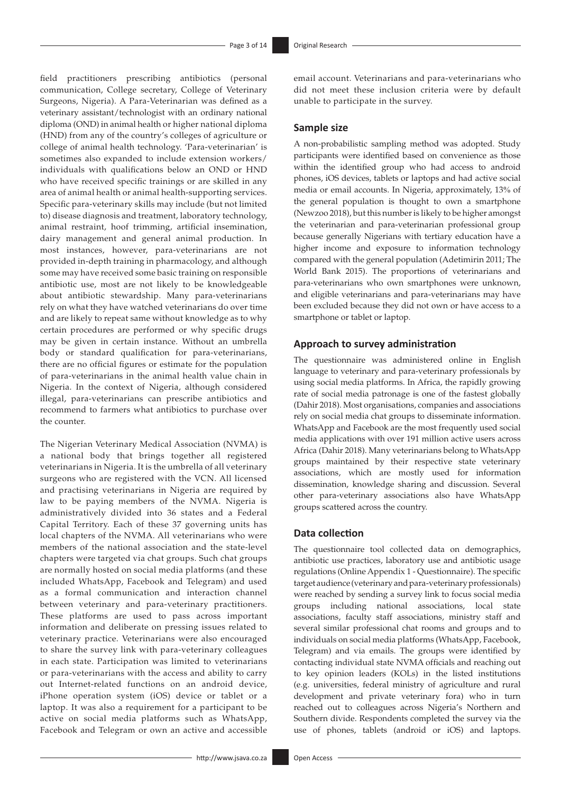field practitioners prescribing antibiotics (personal communication, College secretary, College of Veterinary Surgeons, Nigeria). A Para-Veterinarian was defined as a veterinary assistant/technologist with an ordinary national diploma (OND) in animal health or higher national diploma (HND) from any of the country's colleges of agriculture or college of animal health technology. 'Para-veterinarian' is sometimes also expanded to include extension workers/ individuals with qualifications below an OND or HND who have received specific trainings or are skilled in any area of animal health or animal health-supporting services. Specific para-veterinary skills may include (but not limited to) disease diagnosis and treatment, laboratory technology, animal restraint, hoof trimming, artificial insemination, dairy management and general animal production. In most instances, however, para-veterinarians are not provided in-depth training in pharmacology, and although some may have received some basic training on responsible antibiotic use, most are not likely to be knowledgeable about antibiotic stewardship. Many para-veterinarians rely on what they have watched veterinarians do over time and are likely to repeat same without knowledge as to why certain procedures are performed or why specific drugs may be given in certain instance. Without an umbrella body or standard qualification for para-veterinarians, there are no official figures or estimate for the population of para-veterinarians in the animal health value chain in Nigeria. In the context of Nigeria, although considered illegal, para-veterinarians can prescribe antibiotics and recommend to farmers what antibiotics to purchase over the counter.

The Nigerian Veterinary Medical Association (NVMA) is a national body that brings together all registered veterinarians in Nigeria. It is the umbrella of all veterinary surgeons who are registered with the VCN. All licensed and practising veterinarians in Nigeria are required by law to be paying members of the NVMA. Nigeria is administratively divided into 36 states and a Federal Capital Territory. Each of these 37 governing units has local chapters of the NVMA. All veterinarians who were members of the national association and the state-level chapters were targeted via chat groups. Such chat groups are normally hosted on social media platforms (and these included WhatsApp, Facebook and Telegram) and used as a formal communication and interaction channel between veterinary and para-veterinary practitioners. These platforms are used to pass across important information and deliberate on pressing issues related to veterinary practice. Veterinarians were also encouraged to share the survey link with para-veterinary colleagues in each state. Participation was limited to veterinarians or para-veterinarians with the access and ability to carry out Internet-related functions on an android device, iPhone operation system (iOS) device or tablet or a laptop. It was also a requirement for a participant to be active on social media platforms such as WhatsApp, Facebook and Telegram or own an active and accessible

email account. Veterinarians and para-veterinarians who did not meet these inclusion criteria were by default unable to participate in the survey.

#### **Sample size**

A non-probabilistic sampling method was adopted. Study participants were identified based on convenience as those within the identified group who had access to android phones, iOS devices, tablets or laptops and had active social media or email accounts. In Nigeria, approximately, 13% of the general population is thought to own a smartphone (Newzoo 2018), but this number is likely to be higher amongst the veterinarian and para-veterinarian professional group because generally Nigerians with tertiary education have a higher income and exposure to information technology compared with the general population (Adetimirin 2011; The World Bank 2015). The proportions of veterinarians and para-veterinarians who own smartphones were unknown, and eligible veterinarians and para-veterinarians may have been excluded because they did not own or have access to a smartphone or tablet or laptop.

### **Approach to survey administration**

The questionnaire was administered online in English language to veterinary and para-veterinary professionals by using social media platforms. In Africa, the rapidly growing rate of social media patronage is one of the fastest globally (Dahir 2018). Most organisations, companies and associations rely on social media chat groups to disseminate information. WhatsApp and Facebook are the most frequently used social media applications with over 191 million active users across Africa (Dahir 2018). Many veterinarians belong to WhatsApp groups maintained by their respective state veterinary associations, which are mostly used for information dissemination, knowledge sharing and discussion. Several other para-veterinary associations also have WhatsApp groups scattered across the country.

### **Data collection**

The questionnaire tool collected data on demographics, antibiotic use practices, laboratory use and antibiotic usage regulations (Online Appendix 1 - Questionnaire). The specific target audience (veterinary and para-veterinary professionals) were reached by sending a survey link to focus social media groups including national associations, local state associations, faculty staff associations, ministry staff and several similar professional chat rooms and groups and to individuals on social media platforms (WhatsApp, Facebook, Telegram) and via emails. The groups were identified by contacting individual state NVMA officials and reaching out to key opinion leaders (KOLs) in the listed institutions (e.g. universities, federal ministry of agriculture and rural development and private veterinary fora) who in turn reached out to colleagues across Nigeria's Northern and Southern divide. Respondents completed the survey via the use of phones, tablets (android or iOS) and laptops.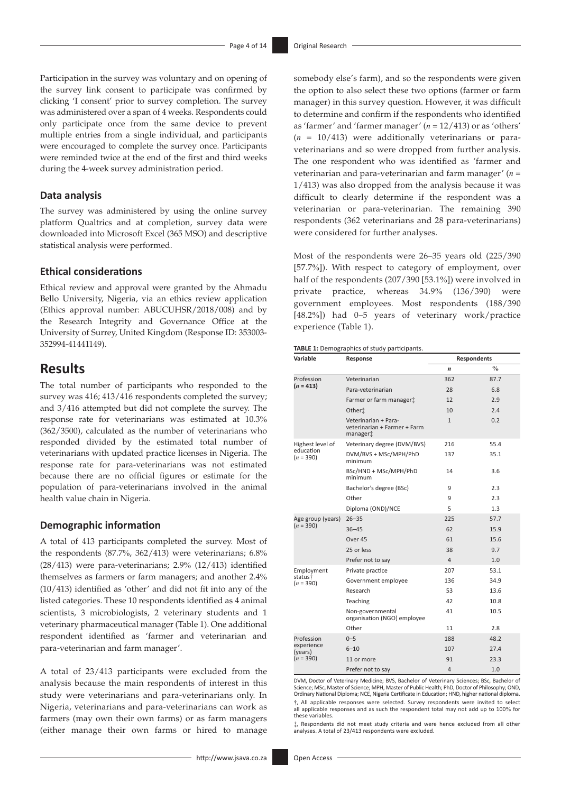Participation in the survey was voluntary and on opening of the survey link consent to participate was confirmed by clicking 'I consent' prior to survey completion. The survey was administered over a span of 4 weeks. Respondents could only participate once from the same device to prevent multiple entries from a single individual, and participants were encouraged to complete the survey once. Participants were reminded twice at the end of the first and third weeks during the 4-week survey administration period.

#### **Data analysis**

The survey was administered by using the online survey platform Qualtrics and at completion, survey data were downloaded into Microsoft Excel (365 MSO) and descriptive statistical analysis were performed.

#### **Ethical considerations**

Ethical review and approval were granted by the Ahmadu Bello University, Nigeria, via an ethics review application (Ethics approval number: ABUCUHSR/2018/008) and by the Research Integrity and Governance Office at the University of Surrey, United Kingdom (Response ID: 353003- 352994-41441149).

# **Results**

The total number of participants who responded to the survey was 416; 413/416 respondents completed the survey; and 3/416 attempted but did not complete the survey. The response rate for veterinarians was estimated at 10.3% (362/3500), calculated as the number of veterinarians who responded divided by the estimated total number of veterinarians with updated practice licenses in Nigeria. The response rate for para-veterinarians was not estimated because there are no official figures or estimate for the population of para-veterinarians involved in the animal health value chain in Nigeria.

#### **Demographic information**

A total of 413 participants completed the survey. Most of the respondents (87.7%, 362/413) were veterinarians; 6.8% (28/413) were para-veterinarians; 2.9% (12/413) identified themselves as farmers or farm managers; and another 2.4% (10/413) identified as 'other' and did not fit into any of the listed categories. These 10 respondents identified as 4 animal scientists, 3 microbiologists, 2 veterinary students and 1 veterinary pharmaceutical manager (Table 1). One additional respondent identified as 'farmer and veterinarian and para-veterinarian and farm manager'.

A total of 23/413 participants were excluded from the analysis because the main respondents of interest in this study were veterinarians and para-veterinarians only. In Nigeria, veterinarians and para-veterinarians can work as farmers (may own their own farms) or as farm managers (either manage their own farms or hired to manage

somebody else's farm), and so the respondents were given the option to also select these two options (farmer or farm manager) in this survey question. However, it was difficult to determine and confirm if the respondents who identified as 'farmer' and 'farmer manager' (*n* = 12/413) or as 'others' (*n* = 10/413) were additionally veterinarians or paraveterinarians and so were dropped from further analysis. The one respondent who was identified as 'farmer and veterinarian and para-veterinarian and farm manager' (*n* = 1/413) was also dropped from the analysis because it was difficult to clearly determine if the respondent was a veterinarian or para-veterinarian. The remaining 390 respondents (362 veterinarians and 28 para-veterinarians) were considered for further analyses.

Most of the respondents were 26–35 years old (225/390 [57.7%]). With respect to category of employment, over half of the respondents (207/390 [53.1%]) were involved in private practice, whereas 34.9% (136/390) were government employees. Most respondents (188/390 [48.2%]) had 0–5 years of veterinary work/practice experience (Table 1).

| Variable                           | Response                                                                     | <b>Respondents</b> |               |
|------------------------------------|------------------------------------------------------------------------------|--------------------|---------------|
|                                    |                                                                              | $\boldsymbol{n}$   | $\frac{0}{0}$ |
| Profession                         | Veterinarian                                                                 | 362                | 87.7          |
| $(n = 413)$                        | Para-veterinarian                                                            | 28                 | 6.8           |
|                                    | Farmer or farm manager <sup>+</sup>                                          | 12                 | 2.9           |
|                                    | Other <sup>t</sup>                                                           | 10                 | 2.4           |
|                                    | Veterinarian + Para-<br>veterinarian + Farmer + Farm<br>manager <sup>+</sup> | $\mathbf{1}$       | 0.2           |
| Highest level of                   | Veterinary degree (DVM/BVS)                                                  | 216                | 55.4          |
| education<br>$(n = 390)$           | DVM/BVS + MSc/MPH/PhD<br>minimum                                             | 137                | 35.1          |
|                                    | BSc/HND + MSc/MPH/PhD<br>minimum                                             | 14                 | 3.6           |
|                                    | Bachelor's degree (BSc)                                                      | 9                  | 2.3           |
|                                    | Other                                                                        | 9                  | 2.3           |
|                                    | Diploma (OND)/NCE                                                            | 5                  | 1.3           |
| Age group (years)                  | $26 - 35$                                                                    | 225                | 57.7          |
| $(n = 390)$                        | $36 - 45$                                                                    | 62                 | 15.9          |
|                                    | Over 45                                                                      | 61                 | 15.6          |
|                                    | 25 or less                                                                   | 38                 | 9.7           |
|                                    | Prefer not to say                                                            | $\overline{4}$     | 1.0           |
| Employment                         | Private practice                                                             | 207                | 53.1          |
| status <sup>+</sup><br>$(n = 390)$ | Government employee                                                          | 136                | 34.9          |
|                                    | Research                                                                     | 53                 | 13.6          |
|                                    | Teaching                                                                     | 42                 | 10.8          |
|                                    | Non-governmental<br>organisation (NGO) employee                              | 41                 | 10.5          |
|                                    | Other                                                                        | 11                 | 2.8           |
| Profession                         | $0 - 5$                                                                      | 188                | 48.2          |
| experience<br>(years)              | $6 - 10$                                                                     | 107                | 27.4          |
| $(n = 390)$                        | 11 or more                                                                   | 91                 | 23.3          |
|                                    | Prefer not to say                                                            | 4                  | 1.0           |

DVM, Doctor of Veterinary Medicine; BVS, Bachelor of Veterinary Sciences; BSc, Bachelor of Science; MSc, Master of Science; MPH, Master of Public Health; PhD, Doctor of Philosophy; OND, Ordinary National Diploma; NCE, Nigeria Certificate in Education; HND, higher national diploma. †, All applicable responses were selected. Survey respondents were invited to select all applicable responses and as such the respondent total may not add up to 100% for these variables.

‡, Respondents did not meet study criteria and were hence excluded from all other analyses. A total of 23/413 respondents were excluded.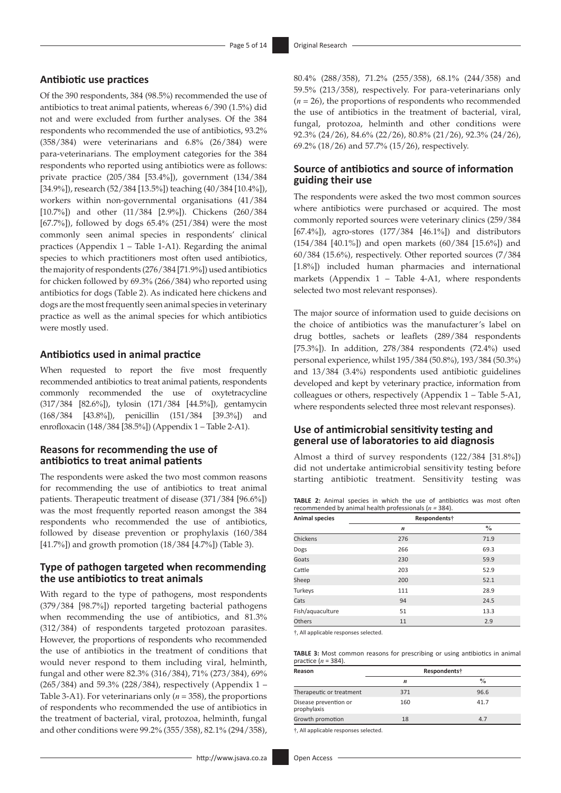#### **Antibiotic use practices**

Of the 390 respondents, 384 (98.5%) recommended the use of antibiotics to treat animal patients, whereas 6/390 (1.5%) did not and were excluded from further analyses. Of the 384 respondents who recommended the use of antibiotics, 93.2% (358/384) were veterinarians and 6.8% (26/384) were para-veterinarians. The employment categories for the 384 respondents who reported using antibiotics were as follows: private practice (205/384 [53.4%]), government (134/384 [34.9%]), research (52/384 [13.5%]) teaching (40/384 [10.4%]), workers within non-governmental organisations (41/384 [10.7%]) and other (11/384 [2.9%]). Chickens (260/384 [67.7%]), followed by dogs 65.4% (251/384) were the most commonly seen animal species in respondents' clinical practices (Appendix 1 – Table 1-A1). Regarding the animal species to which practitioners most often used antibiotics, the majority of respondents (276/384 [71.9%]) used antibiotics for chicken followed by 69.3% (266/384) who reported using antibiotics for dogs (Table 2). As indicated here chickens and dogs are the most frequently seen animal species in veterinary practice as well as the animal species for which antibiotics were mostly used.

### **Antibiotics used in animal practice**

When requested to report the five most frequently recommended antibiotics to treat animal patients, respondents commonly recommended the use of oxytetracycline (317/384 [82.6%]), tylosin (171/384 [44.5%]), gentamycin (168/384 [43.8%]), penicillin (151/384 [39.3%]) and enrofloxacin (148/384 [38.5%]) (Appendix 1 – Table 2-A1).

### **Reasons for recommending the use of antibiotics to treat animal patients**

The respondents were asked the two most common reasons for recommending the use of antibiotics to treat animal patients. Therapeutic treatment of disease (371/384 [96.6%]) was the most frequently reported reason amongst the 384 respondents who recommended the use of antibiotics, followed by disease prevention or prophylaxis (160/384 [41.7%]) and growth promotion (18/384 [4.7%]) (Table 3).

### **Type of pathogen targeted when recommending the use antibiotics to treat animals**

With regard to the type of pathogens, most respondents (379/384 [98.7%]) reported targeting bacterial pathogens when recommending the use of antibiotics, and 81.3% (312/384) of respondents targeted protozoan parasites. However, the proportions of respondents who recommended the use of antibiotics in the treatment of conditions that would never respond to them including viral, helminth, fungal and other were 82.3% (316/384), 71% (273/384), 69% (265/384) and 59.3% (228/384), respectively (Appendix 1 – Table 3-A1). For veterinarians only (*n* = 358), the proportions of respondents who recommended the use of antibiotics in the treatment of bacterial, viral, protozoa, helminth, fungal and other conditions were 99.2% (355/358), 82.1% (294/358),

80.4% (288/358), 71.2% (255/358), 68.1% (244/358) and 59.5% (213/358), respectively. For para-veterinarians only (*n* = 26), the proportions of respondents who recommended the use of antibiotics in the treatment of bacterial, viral, fungal, protozoa, helminth and other conditions were 92.3% (24/26), 84.6% (22/26), 80.8% (21/26), 92.3% (24/26), 69.2% (18/26) and 57.7% (15/26), respectively.

### **Source of antibiotics and source of information guiding their use**

The respondents were asked the two most common sources where antibiotics were purchased or acquired. The most commonly reported sources were veterinary clinics (259/384 [67.4%]), agro-stores (177/384 [46.1%]) and distributors (154/384 [40.1%]) and open markets (60/384 [15.6%]) and 60/384 (15.6%), respectively. Other reported sources (7/384 [1.8%]) included human pharmacies and international markets (Appendix 1 – Table 4-A1, where respondents selected two most relevant responses).

The major source of information used to guide decisions on the choice of antibiotics was the manufacturer's label on drug bottles, sachets or leaflets (289/384 respondents [75.3%]). In addition, 278/384 respondents (72.4%) used personal experience, whilst 195/384 (50.8%), 193/384 (50.3%) and 13/384 (3.4%) respondents used antibiotic guidelines developed and kept by veterinary practice, information from colleagues or others, respectively (Appendix 1 – Table 5-A1, where respondents selected three most relevant responses).

### **Use of antimicrobial sensitivity testing and general use of laboratories to aid diagnosis**

Almost a third of survey respondents (122/384 [31.8%]) did not undertake antimicrobial sensitivity testing before starting antibiotic treatment. Sensitivity testing was

|  |                                                           |  |  | <b>TABLE 2:</b> Animal species in which the use of antibiotics was most often |  |  |
|--|-----------------------------------------------------------|--|--|-------------------------------------------------------------------------------|--|--|
|  | recommended by animal health professionals ( $n = 384$ ). |  |  |                                                                               |  |  |
|  |                                                           |  |  |                                                                               |  |  |

| <b>Animal species</b> | Respondents†     |               |  |
|-----------------------|------------------|---------------|--|
|                       | $\boldsymbol{n}$ | $\frac{0}{0}$ |  |
| Chickens              | 276              | 71.9          |  |
| Dogs                  | 266              | 69.3          |  |
| Goats                 | 230              | 59.9          |  |
| Cattle                | 203              | 52.9          |  |
| Sheep                 | 200              | 52.1          |  |
| Turkeys               | 111              | 28.9          |  |
| Cats                  | 94               | 24.5          |  |
| Fish/aquaculture      | 51               | 13.3          |  |
| Others                | 11               | 2.9           |  |

†, All applicable responses selected.

**TABLE 3:** Most common reasons for prescribing or using antibiotics in animal practice (*n* = 384).

| Reason                               | Respondents <sup>†</sup> |               |  |
|--------------------------------------|--------------------------|---------------|--|
|                                      | n                        | $\frac{0}{0}$ |  |
| Therapeutic or treatment             | 371                      | 96.6          |  |
| Disease prevention or<br>prophylaxis | 160                      | 41.7          |  |
| Growth promotion                     | 18                       | 4.7           |  |
|                                      |                          |               |  |

†, All applicable responses selected.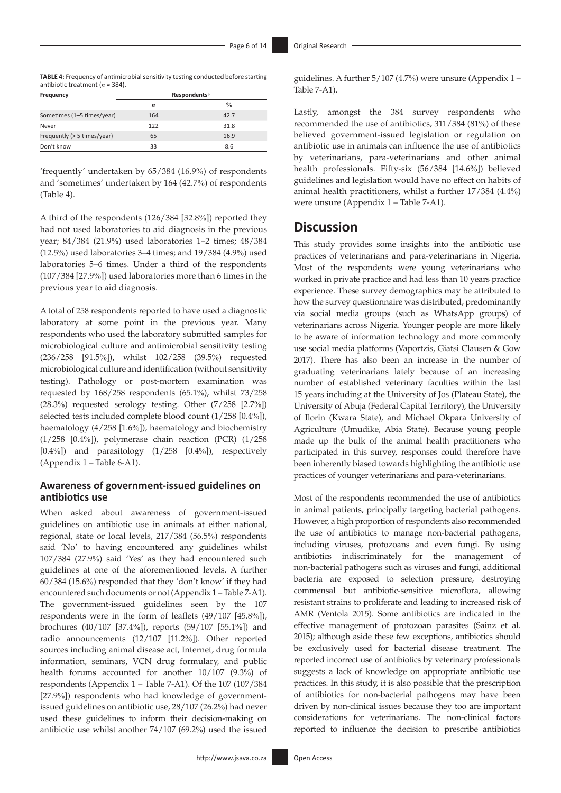**TABLE 4:** Frequency of antimicrobial sensitivity testing conducted before starting antibiotic treatment (*n =* 384).

| Frequency                   | Respondents† |               |  |
|-----------------------------|--------------|---------------|--|
|                             | n            | $\frac{0}{0}$ |  |
| Sometimes (1-5 times/year)  | 164          | 42.7          |  |
| Never                       | 122          | 31.8          |  |
| Frequently (> 5 times/year) | 65           | 16.9          |  |
| Don't know                  | 33           | 8.6           |  |

'frequently' undertaken by 65/384 (16.9%) of respondents and 'sometimes' undertaken by 164 (42.7%) of respondents (Table 4).

A third of the respondents (126/384 [32.8%]) reported they had not used laboratories to aid diagnosis in the previous year; 84/384 (21.9%) used laboratories 1–2 times; 48/384 (12.5%) used laboratories 3–4 times; and 19/384 (4.9%) used laboratories 5–6 times. Under a third of the respondents (107/384 [27.9%]) used laboratories more than 6 times in the previous year to aid diagnosis.

A total of 258 respondents reported to have used a diagnostic laboratory at some point in the previous year. Many respondents who used the laboratory submitted samples for microbiological culture and antimicrobial sensitivity testing (236/258 [91.5%]), whilst 102/258 (39.5%) requested microbiological culture and identification (without sensitivity testing). Pathology or post-mortem examination was requested by 168/258 respondents (65.1%), whilst 73/258 (28.3%) requested serology testing. Other (7/258 [2.7%]) selected tests included complete blood count (1/258 [0.4%]), haematology (4/258 [1.6%]), haematology and biochemistry (1/258 [0.4%]), polymerase chain reaction (PCR) (1/258  $[0.4\%]$ ) and parasitology  $(1/258 \t [0.4\%])$ , respectively (Appendix 1 – Table 6-A1).

### **Awareness of government-issued guidelines on antibiotics use**

When asked about awareness of government-issued guidelines on antibiotic use in animals at either national, regional, state or local levels, 217/384 (56.5%) respondents said 'No' to having encountered any guidelines whilst 107/384 (27.9%) said 'Yes' as they had encountered such guidelines at one of the aforementioned levels. A further 60/384 (15.6%) responded that they 'don't know' if they had encountered such documents or not (Appendix 1 – Table 7-A1). The government-issued guidelines seen by the 107 respondents were in the form of leaflets (49/107 [45.8%]), brochures (40/107 [37.4%]), reports (59/107 [55.1%]) and radio announcements (12/107 [11.2%]). Other reported sources including animal disease act, Internet, drug formula information, seminars, VCN drug formulary, and public health forums accounted for another 10/107 (9.3%) of respondents (Appendix 1 – Table 7-A1). Of the 107 (107/384 [27.9%]) respondents who had knowledge of governmentissued guidelines on antibiotic use, 28/107 (26.2%) had never used these guidelines to inform their decision-making on antibiotic use whilst another 74/107 (69.2%) used the issued

guidelines. A further 5/107 (4.7%) were unsure (Appendix 1 – Table 7-A1).

Lastly, amongst the 384 survey respondents who recommended the use of antibiotics, 311/384 (81%) of these believed government-issued legislation or regulation on antibiotic use in animals can influence the use of antibiotics by veterinarians, para-veterinarians and other animal health professionals. Fifty-six (56/384 [14.6%]) believed guidelines and legislation would have no effect on habits of animal health practitioners, whilst a further 17/384 (4.4%) were unsure (Appendix 1 – Table 7-A1).

# **Discussion**

This study provides some insights into the antibiotic use practices of veterinarians and para-veterinarians in Nigeria. Most of the respondents were young veterinarians who worked in private practice and had less than 10 years practice experience. These survey demographics may be attributed to how the survey questionnaire was distributed, predominantly via social media groups (such as WhatsApp groups) of veterinarians across Nigeria. Younger people are more likely to be aware of information technology and more commonly use social media platforms (Vaportzis, Giatsi Clausen & Gow 2017). There has also been an increase in the number of graduating veterinarians lately because of an increasing number of established veterinary faculties within the last 15 years including at the University of Jos (Plateau State), the University of Abuja (Federal Capital Territory), the University of Ilorin (Kwara State), and Michael Okpara University of Agriculture (Umudike, Abia State). Because young people made up the bulk of the animal health practitioners who participated in this survey, responses could therefore have been inherently biased towards highlighting the antibiotic use practices of younger veterinarians and para-veterinarians.

Most of the respondents recommended the use of antibiotics in animal patients, principally targeting bacterial pathogens. However, a high proportion of respondents also recommended the use of antibiotics to manage non-bacterial pathogens, including viruses, protozoans and even fungi. By using antibiotics indiscriminately for the management of non-bacterial pathogens such as viruses and fungi, additional bacteria are exposed to selection pressure, destroying commensal but antibiotic-sensitive microflora, allowing resistant strains to proliferate and leading to increased risk of AMR (Ventola 2015). Some antibiotics are indicated in the effective management of protozoan parasites (Sainz et al. 2015); although aside these few exceptions, antibiotics should be exclusively used for bacterial disease treatment. The reported incorrect use of antibiotics by veterinary professionals suggests a lack of knowledge on appropriate antibiotic use practices. In this study, it is also possible that the prescription of antibiotics for non-bacterial pathogens may have been driven by non-clinical issues because they too are important considerations for veterinarians. The non-clinical factors reported to influence the decision to prescribe antibiotics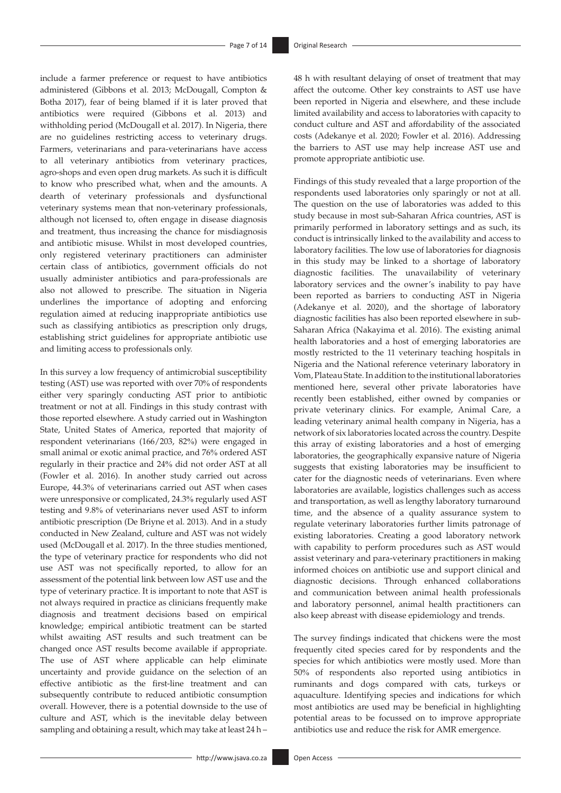include a farmer preference or request to have antibiotics administered (Gibbons et al. 2013; McDougall, Compton & Botha 2017), fear of being blamed if it is later proved that antibiotics were required (Gibbons et al. 2013) and withholding period (McDougall et al. 2017). In Nigeria, there are no guidelines restricting access to veterinary drugs. Farmers, veterinarians and para-veterinarians have access to all veterinary antibiotics from veterinary practices, agro-shops and even open drug markets. As such it is difficult to know who prescribed what, when and the amounts. A dearth of veterinary professionals and dysfunctional veterinary systems mean that non-veterinary professionals, although not licensed to, often engage in disease diagnosis and treatment, thus increasing the chance for misdiagnosis and antibiotic misuse. Whilst in most developed countries, only registered veterinary practitioners can administer certain class of antibiotics, government officials do not usually administer antibiotics and para-professionals are also not allowed to prescribe. The situation in Nigeria underlines the importance of adopting and enforcing regulation aimed at reducing inappropriate antibiotics use such as classifying antibiotics as prescription only drugs, establishing strict guidelines for appropriate antibiotic use and limiting access to professionals only.

In this survey a low frequency of antimicrobial susceptibility testing (AST) use was reported with over 70% of respondents either very sparingly conducting AST prior to antibiotic treatment or not at all. Findings in this study contrast with those reported elsewhere. A study carried out in Washington State, United States of America, reported that majority of respondent veterinarians (166/203, 82%) were engaged in small animal or exotic animal practice, and 76% ordered AST regularly in their practice and 24% did not order AST at all (Fowler et al. 2016). In another study carried out across Europe, 44.3% of veterinarians carried out AST when cases were unresponsive or complicated, 24.3% regularly used AST testing and 9.8% of veterinarians never used AST to inform antibiotic prescription (De Briyne et al. 2013). And in a study conducted in New Zealand, culture and AST was not widely used (McDougall et al. 2017). In the three studies mentioned, the type of veterinary practice for respondents who did not use AST was not specifically reported, to allow for an assessment of the potential link between low AST use and the type of veterinary practice. It is important to note that AST is not always required in practice as clinicians frequently make diagnosis and treatment decisions based on empirical knowledge; empirical antibiotic treatment can be started whilst awaiting AST results and such treatment can be changed once AST results become available if appropriate. The use of AST where applicable can help eliminate uncertainty and provide guidance on the selection of an effective antibiotic as the first-line treatment and can subsequently contribute to reduced antibiotic consumption overall. However, there is a potential downside to the use of culture and AST, which is the inevitable delay between sampling and obtaining a result, which may take at least 24 h –

48 h with resultant delaying of onset of treatment that may affect the outcome. Other key constraints to AST use have been reported in Nigeria and elsewhere, and these include limited availability and access to laboratories with capacity to conduct culture and AST and affordability of the associated costs (Adekanye et al. 2020; Fowler et al. 2016). Addressing the barriers to AST use may help increase AST use and promote appropriate antibiotic use.

Findings of this study revealed that a large proportion of the respondents used laboratories only sparingly or not at all. The question on the use of laboratories was added to this study because in most sub-Saharan Africa countries, AST is primarily performed in laboratory settings and as such, its conduct is intrinsically linked to the availability and access to laboratory facilities. The low use of laboratories for diagnosis in this study may be linked to a shortage of laboratory diagnostic facilities. The unavailability of veterinary laboratory services and the owner's inability to pay have been reported as barriers to conducting AST in Nigeria (Adekanye et al. 2020), and the shortage of laboratory diagnostic facilities has also been reported elsewhere in sub-Saharan Africa (Nakayima et al. 2016). The existing animal health laboratories and a host of emerging laboratories are mostly restricted to the 11 veterinary teaching hospitals in Nigeria and the National reference veterinary laboratory in Vom, Plateau State. In addition to the institutional laboratories mentioned here, several other private laboratories have recently been established, either owned by companies or private veterinary clinics. For example, Animal Care, a leading veterinary animal health company in Nigeria, has a network of six laboratories located across the country. Despite this array of existing laboratories and a host of emerging laboratories, the geographically expansive nature of Nigeria suggests that existing laboratories may be insufficient to cater for the diagnostic needs of veterinarians. Even where laboratories are available, logistics challenges such as access and transportation, as well as lengthy laboratory turnaround time, and the absence of a quality assurance system to regulate veterinary laboratories further limits patronage of existing laboratories. Creating a good laboratory network with capability to perform procedures such as AST would assist veterinary and para-veterinary practitioners in making informed choices on antibiotic use and support clinical and diagnostic decisions. Through enhanced collaborations and communication between animal health professionals and laboratory personnel, animal health practitioners can also keep abreast with disease epidemiology and trends.

The survey findings indicated that chickens were the most frequently cited species cared for by respondents and the species for which antibiotics were mostly used. More than 50% of respondents also reported using antibiotics in ruminants and dogs compared with cats, turkeys or aquaculture. Identifying species and indications for which most antibiotics are used may be beneficial in highlighting potential areas to be focussed on to improve appropriate antibiotics use and reduce the risk for AMR emergence.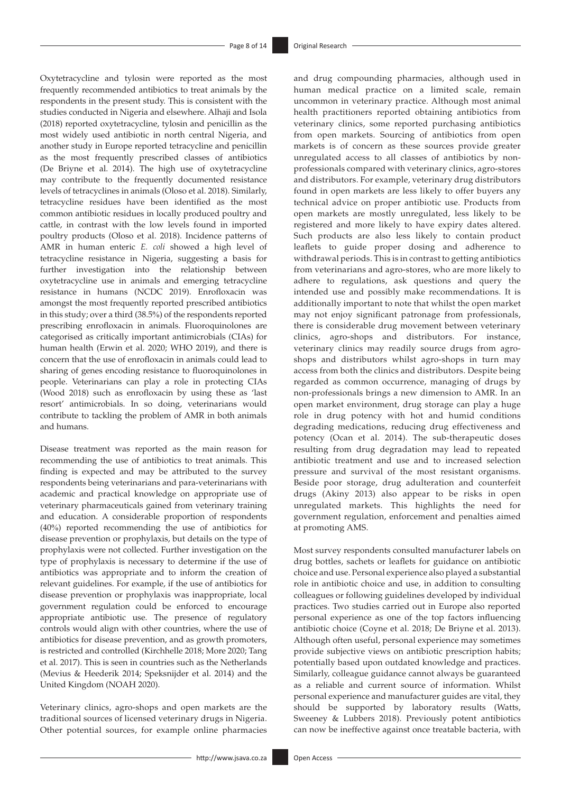Oxytetracycline and tylosin were reported as the most frequently recommended antibiotics to treat animals by the respondents in the present study. This is consistent with the studies conducted in Nigeria and elsewhere. Alhaji and Isola (2018) reported oxytetracycline, tylosin and penicillin as the most widely used antibiotic in north central Nigeria, and another study in Europe reported tetracycline and penicillin as the most frequently prescribed classes of antibiotics (De Briyne et al. 2014). The high use of oxytetracycline may contribute to the frequently documented resistance levels of tetracyclines in animals (Oloso et al. 2018). Similarly, tetracycline residues have been identified as the most common antibiotic residues in locally produced poultry and cattle, in contrast with the low levels found in imported poultry products (Oloso et al. 2018). Incidence patterns of AMR in human enteric *E. coli* showed a high level of tetracycline resistance in Nigeria, suggesting a basis for further investigation into the relationship between oxytetracycline use in animals and emerging tetracycline resistance in humans (NCDC 2019). Enrofloxacin was amongst the most frequently reported prescribed antibiotics in this study; over a third (38.5%) of the respondents reported prescribing enrofloxacin in animals. Fluoroquinolones are categorised as critically important antimicrobials (CIAs) for human health (Erwin et al. 2020; WHO 2019), and there is concern that the use of enrofloxacin in animals could lead to sharing of genes encoding resistance to fluoroquinolones in people. Veterinarians can play a role in protecting CIAs (Wood 2018) such as enrofloxacin by using these as 'last resort' antimicrobials. In so doing, veterinarians would contribute to tackling the problem of AMR in both animals and humans.

Disease treatment was reported as the main reason for recommending the use of antibiotics to treat animals. This finding is expected and may be attributed to the survey respondents being veterinarians and para-veterinarians with academic and practical knowledge on appropriate use of veterinary pharmaceuticals gained from veterinary training and education. A considerable proportion of respondents (40%) reported recommending the use of antibiotics for disease prevention or prophylaxis, but details on the type of prophylaxis were not collected. Further investigation on the type of prophylaxis is necessary to determine if the use of antibiotics was appropriate and to inform the creation of relevant guidelines. For example, if the use of antibiotics for disease prevention or prophylaxis was inappropriate, local government regulation could be enforced to encourage appropriate antibiotic use. The presence of regulatory controls would align with other countries, where the use of antibiotics for disease prevention, and as growth promoters, is restricted and controlled (Kirchhelle 2018; More 2020; Tang et al. 2017). This is seen in countries such as the Netherlands (Mevius & Heederik 2014; Speksnijder et al. 2014) and the United Kingdom (NOAH 2020).

Veterinary clinics, agro-shops and open markets are the traditional sources of licensed veterinary drugs in Nigeria. Other potential sources, for example online pharmacies

and drug compounding pharmacies, although used in human medical practice on a limited scale, remain uncommon in veterinary practice. Although most animal health practitioners reported obtaining antibiotics from veterinary clinics, some reported purchasing antibiotics from open markets. Sourcing of antibiotics from open markets is of concern as these sources provide greater unregulated access to all classes of antibiotics by nonprofessionals compared with veterinary clinics, agro-stores and distributors. For example, veterinary drug distributors found in open markets are less likely to offer buyers any technical advice on proper antibiotic use. Products from open markets are mostly unregulated, less likely to be registered and more likely to have expiry dates altered. Such products are also less likely to contain product leaflets to guide proper dosing and adherence to withdrawal periods. This is in contrast to getting antibiotics from veterinarians and agro-stores, who are more likely to adhere to regulations, ask questions and query the intended use and possibly make recommendations. It is additionally important to note that whilst the open market may not enjoy significant patronage from professionals, there is considerable drug movement between veterinary clinics, agro-shops and distributors. For instance, veterinary clinics may readily source drugs from agroshops and distributors whilst agro-shops in turn may access from both the clinics and distributors. Despite being regarded as common occurrence, managing of drugs by non-professionals brings a new dimension to AMR. In an open market environment, drug storage can play a huge role in drug potency with hot and humid conditions degrading medications, reducing drug effectiveness and potency (Ocan et al. 2014). The sub-therapeutic doses resulting from drug degradation may lead to repeated antibiotic treatment and use and to increased selection pressure and survival of the most resistant organisms. Beside poor storage, drug adulteration and counterfeit drugs (Akiny 2013) also appear to be risks in open unregulated markets. This highlights the need for government regulation, enforcement and penalties aimed at promoting AMS.

Most survey respondents consulted manufacturer labels on drug bottles, sachets or leaflets for guidance on antibiotic choice and use. Personal experience also played a substantial role in antibiotic choice and use, in addition to consulting colleagues or following guidelines developed by individual practices. Two studies carried out in Europe also reported personal experience as one of the top factors influencing antibiotic choice (Coyne et al. 2018; De Briyne et al. 2013). Although often useful, personal experience may sometimes provide subjective views on antibiotic prescription habits; potentially based upon outdated knowledge and practices. Similarly, colleague guidance cannot always be guaranteed as a reliable and current source of information. Whilst personal experience and manufacturer guides are vital, they should be supported by laboratory results (Watts, Sweeney & Lubbers 2018). Previously potent antibiotics can now be ineffective against once treatable bacteria, with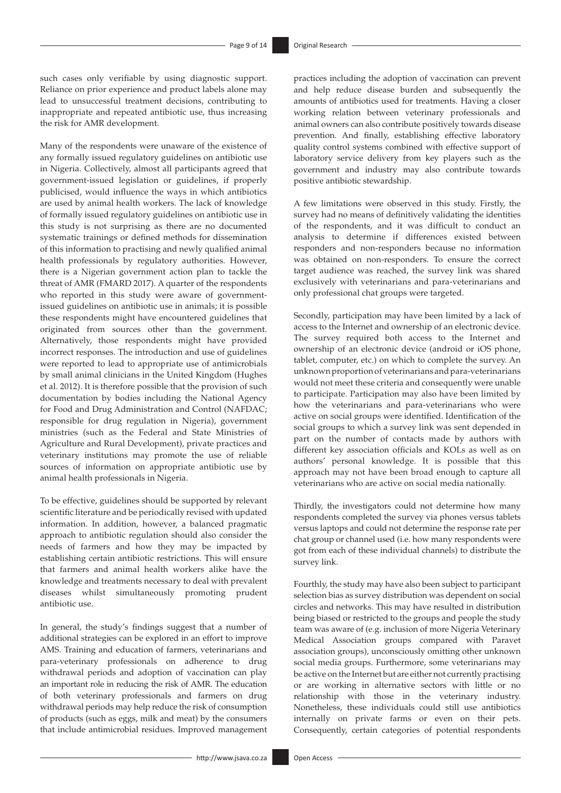such cases only verifiable by using diagnostic support. Reliance on prior experience and product labels alone may lead to unsuccessful treatment decisions, contributing to inappropriate and repeated antibiotic use, thus increasing the risk for AMR development.

Many of the respondents were unaware of the existence of any formally issued regulatory guidelines on antibiotic use in Nigeria. Collectively, almost all participants agreed that government-issued legislation or guidelines, if properly publicised, would influence the ways in which antibiotics are used by animal health workers. The lack of knowledge of formally issued regulatory guidelines on antibiotic use in this study is not surprising as there are no documented systematic trainings or defined methods for dissemination of this information to practising and newly qualified animal health professionals by regulatory authorities. However, there is a Nigerian government action plan to tackle the threat of AMR (FMARD 2017). A quarter of the respondents who reported in this study were aware of governmentissued guidelines on antibiotic use in animals; it is possible these respondents might have encountered guidelines that originated from sources other than the government. Alternatively, those respondents might have provided incorrect responses. The introduction and use of guidelines were reported to lead to appropriate use of antimicrobials by small animal clinicians in the United Kingdom (Hughes et al. 2012). It is therefore possible that the provision of such documentation by bodies including the National Agency for Food and Drug Administration and Control (NAFDAC; responsible for drug regulation in Nigeria), government ministries (such as the Federal and State Ministries of Agriculture and Rural Development), private practices and veterinary institutions may promote the use of reliable sources of information on appropriate antibiotic use by animal health professionals in Nigeria.

To be effective, guidelines should be supported by relevant scientific literature and be periodically revised with updated information. In addition, however, a balanced pragmatic approach to antibiotic regulation should also consider the needs of farmers and how they may be impacted by establishing certain antibiotic restrictions. This will ensure that farmers and animal health workers alike have the knowledge and treatments necessary to deal with prevalent diseases whilst simultaneously promoting prudent antibiotic use.

In general, the study's findings suggest that a number of additional strategies can be explored in an effort to improve AMS. Training and education of farmers, veterinarians and para-veterinary professionals on adherence to drug withdrawal periods and adoption of vaccination can play an important role in reducing the risk of AMR. The education of both veterinary professionals and farmers on drug withdrawal periods may help reduce the risk of consumption of products (such as eggs, milk and meat) by the consumers that include antimicrobial residues. Improved management practices including the adoption of vaccination can prevent and help reduce disease burden and subsequently the amounts of antibiotics used for treatments. Having a closer working relation between veterinary professionals and animal owners can also contribute positively towards disease prevention. And finally, establishing effective laboratory quality control systems combined with effective support of laboratory service delivery from key players such as the government and industry may also contribute towards positive antibiotic stewardship.

A few limitations were observed in this study. Firstly, the survey had no means of definitively validating the identities of the respondents, and it was difficult to conduct an analysis to determine if differences existed between responders and non-responders because no information was obtained on non-responders. To ensure the correct target audience was reached, the survey link was shared exclusively with veterinarians and para-veterinarians and only professional chat groups were targeted.

Secondly, participation may have been limited by a lack of access to the Internet and ownership of an electronic device. The survey required both access to the Internet and ownership of an electronic device (android or iOS phone, tablet, computer, etc.) on which to complete the survey. An unknown proportion of veterinarians and para-veterinarians would not meet these criteria and consequently were unable to participate. Participation may also have been limited by how the veterinarians and para-veterinarians who were active on social groups were identified. Identification of the social groups to which a survey link was sent depended in part on the number of contacts made by authors with different key association officials and KOLs as well as on authors' personal knowledge. It is possible that this approach may not have been broad enough to capture all veterinarians who are active on social media nationally.

Thirdly, the investigators could not determine how many respondents completed the survey via phones versus tablets versus laptops and could not determine the response rate per chat group or channel used (i.e. how many respondents were got from each of these individual channels) to distribute the survey link.

Fourthly, the study may have also been subject to participant selection bias as survey distribution was dependent on social circles and networks. This may have resulted in distribution being biased or restricted to the groups and people the study team was aware of (e.g. inclusion of more Nigeria Veterinary Medical Association groups compared with Paravet association groups), unconsciously omitting other unknown social media groups. Furthermore, some veterinarians may be active on the Internet but are either not currently practising or are working in alternative sectors with little or no relationship with those in the veterinary industry. Nonetheless, these individuals could still use antibiotics internally on private farms or even on their pets. Consequently, certain categories of potential respondents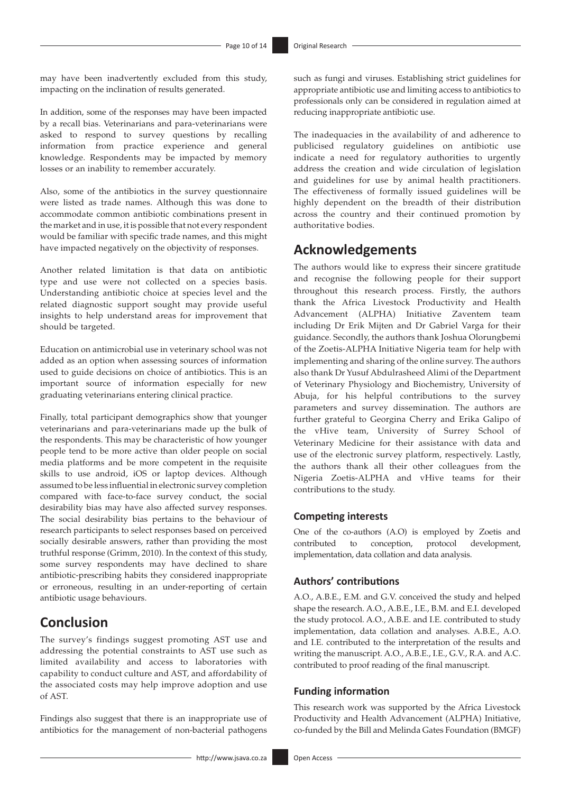may have been inadvertently excluded from this study, impacting on the inclination of results generated.

In addition, some of the responses may have been impacted by a recall bias. Veterinarians and para-veterinarians were asked to respond to survey questions by recalling information from practice experience and general knowledge. Respondents may be impacted by memory losses or an inability to remember accurately.

Also, some of the antibiotics in the survey questionnaire were listed as trade names. Although this was done to accommodate common antibiotic combinations present in the market and in use, it is possible that not every respondent would be familiar with specific trade names, and this might have impacted negatively on the objectivity of responses.

Another related limitation is that data on antibiotic type and use were not collected on a species basis. Understanding antibiotic choice at species level and the related diagnostic support sought may provide useful insights to help understand areas for improvement that should be targeted.

Education on antimicrobial use in veterinary school was not added as an option when assessing sources of information used to guide decisions on choice of antibiotics. This is an important source of information especially for new graduating veterinarians entering clinical practice.

Finally, total participant demographics show that younger veterinarians and para-veterinarians made up the bulk of the respondents. This may be characteristic of how younger people tend to be more active than older people on social media platforms and be more competent in the requisite skills to use android, iOS or laptop devices. Although assumed to be less influential in electronic survey completion compared with face-to-face survey conduct, the social desirability bias may have also affected survey responses. The social desirability bias pertains to the behaviour of research participants to select responses based on perceived socially desirable answers, rather than providing the most truthful response (Grimm, 2010). In the context of this study, some survey respondents may have declined to share antibiotic-prescribing habits they considered inappropriate or erroneous, resulting in an under-reporting of certain antibiotic usage behaviours.

# **Conclusion**

The survey's findings suggest promoting AST use and addressing the potential constraints to AST use such as limited availability and access to laboratories with capability to conduct culture and AST, and affordability of the associated costs may help improve adoption and use of AST.

Findings also suggest that there is an inappropriate use of antibiotics for the management of non-bacterial pathogens

such as fungi and viruses. Establishing strict guidelines for appropriate antibiotic use and limiting access to antibiotics to professionals only can be considered in regulation aimed at reducing inappropriate antibiotic use.

The inadequacies in the availability of and adherence to publicised regulatory guidelines on antibiotic use indicate a need for regulatory authorities to urgently address the creation and wide circulation of legislation and guidelines for use by animal health practitioners. The effectiveness of formally issued guidelines will be highly dependent on the breadth of their distribution across the country and their continued promotion by authoritative bodies.

# **Acknowledgements**

The authors would like to express their sincere gratitude and recognise the following people for their support throughout this research process. Firstly, the authors thank the Africa Livestock Productivity and Health Advancement (ALPHA) Initiative Zaventem team including Dr Erik Mijten and Dr Gabriel Varga for their guidance. Secondly, the authors thank Joshua Olorungbemi of the Zoetis-ALPHA Initiative Nigeria team for help with implementing and sharing of the online survey. The authors also thank Dr Yusuf Abdulrasheed Alimi of the Department of Veterinary Physiology and Biochemistry, University of Abuja, for his helpful contributions to the survey parameters and survey dissemination. The authors are further grateful to Georgina Cherry and Erika Galipo of the vHive team, University of Surrey School of Veterinary Medicine for their assistance with data and use of the electronic survey platform, respectively. Lastly, the authors thank all their other colleagues from the Nigeria Zoetis-ALPHA and vHive teams for their contributions to the study.

### **Competing interests**

One of the co-authors (A.O) is employed by Zoetis and contributed to conception, protocol development, implementation, data collation and data analysis.

## **Authors' contributions**

A.O., A.B.E., E.M. and G.V. conceived the study and helped shape the research. A.O., A.B.E., I.E., B.M. and E.I. developed the study protocol. A.O., A.B.E. and I.E. contributed to study implementation, data collation and analyses. A.B.E., A.O. and I.E. contributed to the interpretation of the results and writing the manuscript. A.O., A.B.E., I.E., G.V., R.A. and A.C. contributed to proof reading of the final manuscript.

### **Funding information**

This research work was supported by the Africa Livestock Productivity and Health Advancement (ALPHA) Initiative, co-funded by the Bill and Melinda Gates Foundation (BMGF)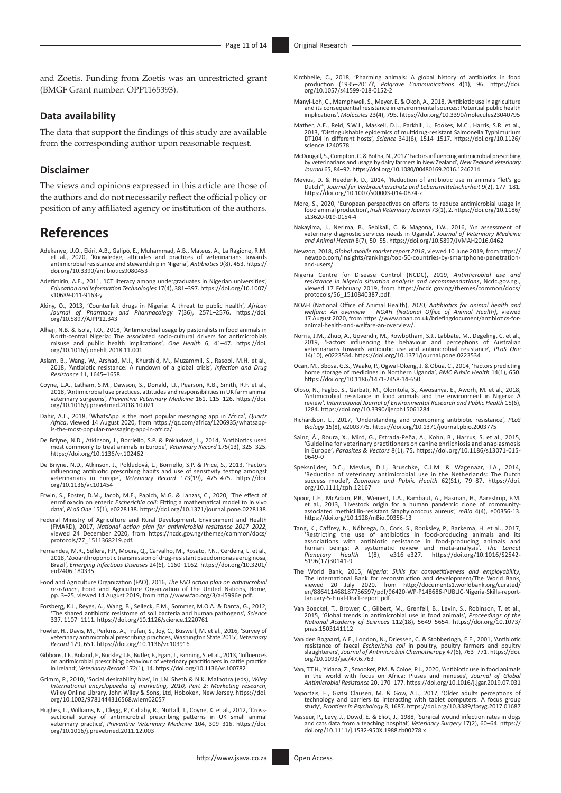and Zoetis. Funding from Zoetis was an unrestricted grant (BMGF Grant number: OPP1165393).

#### **Data availability**

The data that support the findings of this study are available from the corresponding author upon reasonable request.

#### **Disclaimer**

The views and opinions expressed in this article are those of the authors and do not necessarily reflect the official policy or position of any affiliated agency or institution of the authors.

# **References**

- Adekanye, U.O., Ekiri, A.B., Galipó, E., Muhammad, A.B., Mateus, A., La Ragione, R.M. et al., 2020, 'Knowledge, attitudes and practices of veterinarians towards antimicrobial resistance and stewardship in Nigeria', *Antibiotics* 9(8), 453. [https://](https://doi.org/10.3390/antibiotics9080453) [doi.org/10.3390/antibiotics9080453](https://doi.org/10.3390/antibiotics9080453)
- Adetimirin, A.E., 2011, 'ICT literacy among undergraduates in Nigerian universities', *Education and Information Technologies* 17(4), 381–397. [https://doi.org/10.1007/](https://doi.org/10.1007/s10639-011-9163-y) [s10639-011-9163-y](https://doi.org/10.1007/s10639-011-9163-y)
- Akiny, O., 2013, 'Counterfeit drugs in Nigeria: A threat to public health', *African Journal of Pharmacy and Pharmacology* 7(36), 2571–2576. [https://doi.](https://doi.org/10.5897/AJPP12.343) [org/10.5897/AJPP12.343](https://doi.org/10.5897/AJPP12.343)
- Alhaji, N.B. & Isola, T.O., 2018, 'Antimicrobial usage by pastoralists in food animals in North-central Nigeria: The associated socio-cultural drivers for antimicrobials misuse and public health implications', *One Health* 6, 41–47. [https://doi.](https://doi.org/10.1016/j.onehlt.2018.11.001) [org/10.1016/j.onehlt.2018.11.001](https://doi.org/10.1016/j.onehlt.2018.11.001)
- Aslam, B., Wang, W., Arshad, M.I., Khurshid, M., Muzammil, S., Rasool, M.H. et al., 2018, 'Antibiotic resistance: A rundown of a global crisis', *Infection and Drug Resistance* 11, 1645–1658.
- Coyne, L.A., Latham, S.M., Dawson, S., Donald, I.J., Pearson, R.B., Smith, R.F. et al., 2018, 'Antimicrobial use practices, attitudes and responsibilities in UK farm animal veterinary surgeons', *Preventive Veterinary Medicine* 161, 115–126. [https://doi.](https://doi.org/10.1016/j.prevetmed.2018.10.021) [org/10.1016/j.prevetmed.2018.10.021](https://doi.org/10.1016/j.prevetmed.2018.10.021)
- Dahir, A.L., 2018, 'WhatsApp is the most popular messaging app in Africa', *Quartz Africa*, viewed 14 August 2020, from [https://qz.com/africa/1206935/whatsapp](https://qz.com/africa/1206935/whatsapp-is-the-most-popular-messaging-app-in-africa/)[is-the-most-popular-messaging-app-in-africa/.](https://qz.com/africa/1206935/whatsapp-is-the-most-popular-messaging-app-in-africa/)
- De Briyne, N.D., Atkinson, J., Borriello, S.P. & Pokludová, L., 2014, 'Antibiotics used most commonly to treat animals in Europe', *Veterinary Record* 175(13), 325–325. <https://doi.org/10.1136/vr.102462>
- De Briyne, N.D., Atkinson, J., Pokludová, L., Borriello, S.P. & Price, S., 2013, 'Factors influencing antibiotic prescribing habits and use of sensitivity testing amongst veterinarians in Europe', *Veterinary Record* 173(19), 475–475. [https://doi.](https://doi.org/10.1136/vr.101454) [org/10.1136/vr.101454](https://doi.org/10.1136/vr.101454)
- Erwin, S., Foster, D.M., Jacob, M.E., Papich, M.G. & Lanzas, C., 2020, 'The effect of enrofloxacin on enteric *Escherichia coli*: Fitting a mathematical model to in vivo data', *PLoS One* 15(1), e0228138. <https://doi.org/10.1371/journal.pone.0228138>
- Federal Ministry of Agriculture and Rural Development, Environment and Health (FMARD), 2017, National action plan for antimicrobial resistance 2017–2022, viewed 24 December 2020, from https://ncdc.gov.ng/themes/common/docs
- Fernandes, M.R., Sellera, F.P., Moura, Q., Carvalho, M., Rosato, P.N., Cerdeira, L. et al., 2018, 'Zooanthroponotic transmission of drug-resistant pseudomonas aeruginosa, Brazil', *Emerging Infectious Diseases* 24(6), 1160–1162. [https://doi.org/10.3201/](https://doi.org/10.3201/eid2406.180335) [eid2406.180335](https://doi.org/10.3201/eid2406.180335)
- Food and Agriculture Organization (FAO), 2016, *The FAO action plan on antimicrobial resistance*, Food and Agriculture Organization of the United Nations, Rome, pp. 3–25, viewed 14 August 2019, from [http://www.fao.org/3/a-i5996e.pdf.](http://www.fao.org/3/a-i5996e.pdf)
- Forsberg, K.J., Reyes, A., Wang, B., Selleck, E.M., Sommer, M.O.A. & Danta, G., 2012, 'The shared antibiotic resistome of soil bacteria and human pathogens', *Science* 337, 1107–1111.<https://doi.org/10.1126/science.1220761>
- Fowler, H., Davis, M., Perkins, A., Trufan, S., Joy, C., Buswell, M. et al., 2016, 'Survey of veterinary antimicrobial prescribing practices, Washington State 2015', *Veterinary Record* 179, 651. <https://doi.org/10.1136/vr.103916>
- Gibbons, J.F., Boland, F., Buckley, J.F., Butler, F., Egan, J., Fanning, S. et al., 2013, 'Influences on antimicrobial prescribing behaviour of veterinary practitioners in cattle practice in Ireland', *Veterinary Record* 172(1), 14.<https://doi.org/10.1136/vr.100782>
- Grimm, P., 2010, 'Social desirability bias', in J.N. Sheth & N.K. Malhotra (eds), *Wiley International encyclopaedia of marketing, 2010, Part 2: Marketing research*, Wiley Online Library, John Wiley & Sons, Ltd, Hoboken, New Jersey, [https://doi.](https://doi.org/10.1002/9781444316568.wiem02057) [org/10.1002/9781444316568.wiem02057](https://doi.org/10.1002/9781444316568.wiem02057)
- Hughes, L., Williams, N., Clegg, P., Callaby, R., Nuttall, T., Coyne, K. et al., 2012, 'Crosssectional survey of antimicrobial prescribing patterns in UK small animal veterinary practice', *Preventive Veterinary Medicine* 104, 309–316. [https://doi.](https://doi.org/10.1016/j.prevetmed.2011.12.003) [org/10.1016/j.prevetmed.2011.12.003](https://doi.org/10.1016/j.prevetmed.2011.12.003)
- Kirchhelle, C., 2018, 'Pharming animals: A global history of antibiotics in food production (1935–2017)', *Palgrave Communications* 4(1), 96. [https://doi.](https://doi.org/10.1057/s41599-018-0152-2) [org/10.1057/s41599-018-0152-2](https://doi.org/10.1057/s41599-018-0152-2)
- Manyi-Loh, C., Mamphweli, S., Meyer, E. & Okoh, A., 2018, 'Antibiotic use in agriculture and its consequential resistance in environmental sources: Potential public health implications', *Molecules* 23(4), 795.<https://doi.org/10.3390/molecules23040795>
- Mather, A.E., Reid, S.W.J., Maskell, D.J., Parkhill, J., Fookes, M.C., Harris, S.R. et al., 2013, 'Distinguishable epidemics of multidrug-resistant Salmonella Typhimurium DT104 in different hosts', *Science* 341(6), 1514–1517. [https://doi.org/10.1126/](https://doi.org/10.1126/science.1240578) [science.1240578](https://doi.org/10.1126/science.1240578)
- McDougall, S., Compton, C. & Botha, N., 2017 'Factors influencing antimicrobial prescribing by veterinarians and usage by dairy farmers in New Zealand', *New Zealand Veterinary Journal* 65, 84–92.<https://doi.org/10.1080/00480169.2016.1246214>
- Mevius, D. & Heederik, D., 2014, 'Reduction of antibiotic use in animals "let's go Dutch"', *Journal für Verbraucherschutz und Lebensmittelsicherheit* 9(2), 177–181. <https://doi.org/10.1007/s00003-014-0874-z>
- More, S., 2020, 'European perspectives on efforts to reduce antimicrobial usage in food animal production', *Irish Veterinary Journal* 73(1), 2. [https://doi.org/10.1186/](https://doi.org/10.1186/s13620-019-0154-4) [s13620-019-0154-4](https://doi.org/10.1186/s13620-019-0154-4)
- Nakayima, J., Nerima, B., Sebikali, C. & Magona, J.W., 2016, 'An assessment of veterinary diagnostic services needs in Uganda', *Journal of Veterinary Medicine and Animal Health* 8(7), 50–55.<https://doi.org/10.5897/JVMAH2016.0462>
- Newzoo, 2018, *Global mobile market report 2018*, viewed 10 June 2019, from [https://](https://newzoo.com/insights/rankings/top-50-countries-by-smartphone-penetration-and-users/) [newzoo.com/insights/rankings/top-50-countries-by-smartphone-penetration](https://newzoo.com/insights/rankings/top-50-countries-by-smartphone-penetration-and-users/)[and-users/.](https://newzoo.com/insights/rankings/top-50-countries-by-smartphone-penetration-and-users/)
- Nigeria Centre for Disease Control (NCDC)[,](https://ncdc.gov.ng/themes/common/docs/protocols/56_1510840387.pdf) 2019, Antimicrobial use and<br>resistance in Nigeria situation analysis and recommendations, [Ncdc.gov.ng](http://Ncdc.gov.ng).,<br>viewed 17 February 2019, from https://ncdc.gov.ng/themes/common/docs/ [protocols/56\\_1510840387.pdf](https://ncdc.gov.ng/themes/common/docs/protocols/56_1510840387.pdf).
- NOAH (National Office of Animal Health), 2020, Antibiotics for animal health and<br>welfare: An overview NOAH (National Office of Animal Health), viewed<br>17 August 2020, from https://www.noah.co.uk/briefingdocument/antibioti
- Norris, J.M., Zhuo, A., Govendir, M., Rowbotham, S.J., Labbate, M., Degeling, C. et al., 2019, 'Factors influencing the behaviour and perceptions of Australian veterinarians towards antibiotic use and antimicrobial resistance', *PLoS One* 14(10), e0223534. <https://doi.org/10.1371/journal.pone.0223534>
- Ocan, M., Bbosa, G.S., Waako, P., Ogwal-Okeng, J. & Obua, C., 2014, 'Factors predicting home storage of medicines in Northern Uganda', *BMC Public Health* 14(1), 650. <https://doi.org/10.1186/1471-2458-14-650>
- Oloso, N., Fagbo, S., Garbati, M., Olonitola, S., Awosanya, E., Aworh, M. et al., 2018, 'Antimicrobial resistance in food animals and the environment in Nigeria: A review', *International Journal of Environmental Research and Public Health* 15(6), 1284. <https://doi.org/10.3390/ijerph15061284>
- Richardson, L., 2017, 'Understanding and overcoming antibiotic resistance', *PLoS Biology* 15(8), e2003775. <https://doi.org/10.1371/journal.pbio.2003775>
- Sainz, Á., Roura, X., Miró, G., Estrada-Peña, A., Kohn, B., Harrus, S. et al., 2015, 'Guideline for veterinary practitioners on canine ehrlichiosis and anaplasmosis in Europe', *Parasites & Vectors* 8(1), 75. [https://doi.org/10.1186/s13071-015-](https://doi.org/10.1186/s13071-015-0649-0) [0649-0](https://doi.org/10.1186/s13071-015-0649-0)
- Speksnijder, D.C., Mevius, D.J., Bruschke, C.J.M. & Wagenaar, J.A., 2014, 'Reduction of veterinary antimicrobial use in the Netherlands: The Dutch success model', Zoonoses and Public Health 62(51), 79–87. [https://doi.](https://doi.org/10.1111/zph.12167) org/
- Spoor, L.E., McAdam, P.R., Weinert, L.A., Rambaut, A., Hasman, H., Aarestrup, F.M.<br>et al., 2013, 'Livestock origin for a human pandemic clone of community-<br>associated methicillin-resistant Staphylococcus aureus', mBio 4(4) <https://doi.org/10.1128/mBio.00356-13>
- Tang, K., Caffrey, N., Nóbrega, D., Cork, S., Ronksley, P., Barkema, H. et al., 2017, 'Restricting the use of antibiotics in food-producing animals and its associations with antibiotic resistance in food-producing animals and human beings: A systematic review and meta-analysis', *The Lancet Planetary Health* 1(8), e316–e327. [https://doi.org/10.1016/S2542-](https://doi.org/10.1016/S2542-5196(17)30141-9) [5196\(17\)30141-9](https://doi.org/10.1016/S2542-5196(17)30141-9)
- The World Bank, 2015, Nigeria: Skills for competitiveness and employability,<br>The International Bank for reconstruction and development/The World Bank,<br>viewed 20 July 2020, from [http://documents1.worldbank.org/curated/](http://documents1.worldbank.org/curated/en/886411468187756597/pdf/96420-WP-P148686-PUBLIC-Nigeria-Skills-report-January-5-Final-Draft-report.pdf) [en/886411468187756597/pdf/96420-WP-P148686-PUBLIC-Nigeria-Skills-report-](http://documents1.worldbank.org/curated/en/886411468187756597/pdf/96420-WP-P148686-PUBLIC-Nigeria-Skills-report-January-5-Final-Draft-report.pdf)[January-5-Final-Draft-report.pdf](http://documents1.worldbank.org/curated/en/886411468187756597/pdf/96420-WP-P148686-PUBLIC-Nigeria-Skills-report-January-5-Final-Draft-report.pdf).
- Van Boeckel, T., Brower, C., Gilbert, M., Grenfell, B., Levin, S., Robinson, T. et al., 2015, 'Global trends in antimicrobial use in food animals', *Proceedings of the National Academy of Science*s 112(18), 5649–5654. [https://doi.org/10.1073/](https://doi.org/10.1073/pnas.1503141112) [pnas.1503141112](https://doi.org/10.1073/pnas.1503141112)
- Van den Bogaard, A.E., London, N., Driessen, C. & Stobberingh, E.E., 2001, 'Antibiotic resistance of faecal *Escherichia coli* in poultry, poultry farmers and poultry slaughterers', *Journal of Antimicrobial Chemotherapy* 47(6), 763–771. [https://doi.](https://doi.org/10.1093/jac/47.6.763) [org/10.1093/jac/47.6.763](https://doi.org/10.1093/jac/47.6.763)
- Van, T.T.H., Yidana, Z., Smooker, P.M. & Coloe, P.J., 2020, 'Antibiotic use in food animals in the world with focus on Africa: Pluses and minuses', *Journal of Global Antimicrobial Resistance* 20, 170–177. <https://doi.org/10.1016/j.jgar.2019.07.031>
- Vaportzis, E., Giatsi Clausen, M. & Gow, A.J., 2017, 'Older adults perceptions of technology and barriers to interacting with tablet computers: A focus group study', *Frontiers in Psychology* 8, 1687.<https://doi.org/10.3389/fpsyg.2017.01687>
- Vasseur, P., Levy, J., Dowd, E. & Eliot, J., 1988, 'Surgical wound infection rates in dogs and cats data from a teaching hospital', *Veterinary Surgery* 17(2), 60–64. [https://](https://doi.org/10.1111/j.1532-950X.1988.tb00278.x) [doi.org/10.1111/j.1532-950X.1988.tb00278.x](https://doi.org/10.1111/j.1532-950X.1988.tb00278.x)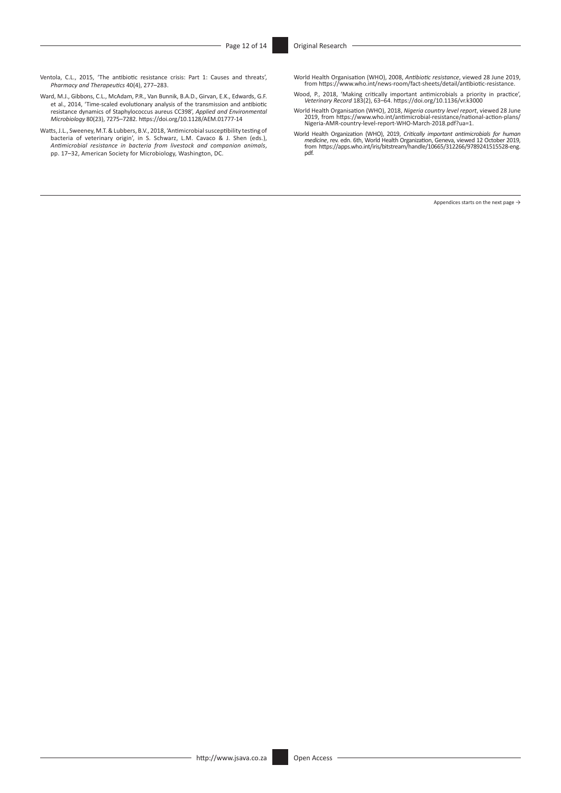- Ventola, C.L., 2015, 'The antibiotic resistance crisis: Part 1: Causes and threats', *Pharmacy and Therapeutics* 40(4), 277–283.
- Ward, M.J., Gibbons, C.L., McAdam, P.R., Van Bunnik, B.A.D., Girvan, E.K., Edwards, G.F. et al., 2014, 'Time-scaled evolutionary analysis of the transmission and antibiotic resistance dynamics of Staphylococcus aureus CC398', *Applied and Environmental Microbiology* 80(23), 7275–7282.<https://doi.org/10.1128/AEM.01777-14>
- Watts, J.L., Sweeney, M.T. & Lubbers, B.V., 2018, 'Antimicrobial susceptibility testing of<br>bacteria of veterinary origin', in S. Schwarz, L.M. Cavaco & J. Shen (eds.),<br>Antimicrobial resistance in bacteria from livestock an pp. 17–32, American Society for Microbiology, Washington, DC.
- World Health Organisation (WHO), 2008, *Antibiotic resistance*, viewed 28 June 2019, from<https://www.who.int/news-room/fact-sheets/detail/antibiotic-resistance>.
- Wood, P., 2018, 'Making critically important antimicrobials a priority in practice', *Veterinary Record* 183(2), 63–64. <https://doi.org/10.1136/vr.k3000>
- World Health Organisation (WHO), 2018, *Nigeria country level report*, viewed 28 June 2019, from [https://www.who.int/antimicrobial-resistance/national-action-plans/](https://www.who.int/antimicrobial-resistance/national-action-plans/Nigeria-AMR-country-level-report-WHO-March-2018.pdf?ua=1) [Nigeria-AMR-country-level-report-WHO-March-2018.pdf?ua=1](https://www.who.int/antimicrobial-resistance/national-action-plans/Nigeria-AMR-country-level-report-WHO-March-2018.pdf?ua=1).
- World Health Organization (WHO), 2019, Critically important antimicrobials for human<br>medicine, rev. edn. 6th, World Health Organization, Geneva, viewed 12 October 2019,<br>from https://apps.who.int/iris/bitstream/handle/10665 [pdf.](https://apps.who.int/iris/bitstream/handle/10665/312266/9789241515528-eng.pdf)

Appendices starts on the next page  $\rightarrow$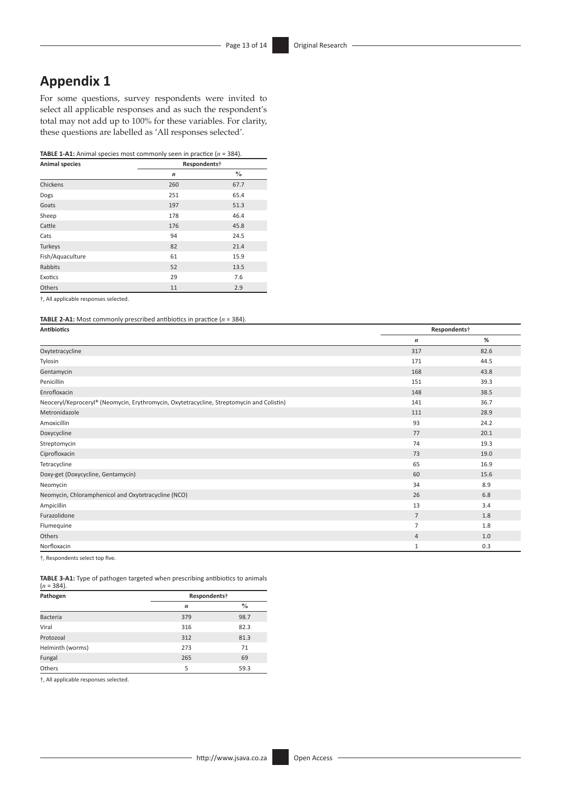# **Appendix 1**

For some questions, survey respondents were invited to select all applicable responses and as such the respondent's total may not add up to 100% for these variables. For clarity, these questions are labelled as 'All responses selected'.

#### **TABLE 1-A1:** Animal species most commonly seen in practice (*n* = 384).

| <b>Animal species</b> | Respondents†     |               |
|-----------------------|------------------|---------------|
|                       | $\boldsymbol{n}$ | $\frac{0}{0}$ |
| Chickens              | 260              | 67.7          |
| Dogs                  | 251              | 65.4          |
| Goats                 | 197              | 51.3          |
| Sheep                 | 178              | 46.4          |
| Cattle                | 176              | 45.8          |
| Cats                  | 94               | 24.5          |
| Turkeys               | 82               | 21.4          |
| Fish/Aquaculture      | 61               | 15.9          |
| <b>Rabbits</b>        | 52               | 13.5          |
| Exotics               | 29               | 7.6           |
| Others                | 11               | 2.9           |

†, All applicable responses selected.

**TABLE 2-A1:** Most commonly prescribed antibiotics in practice  $(n = 384)$ .

| <b>Antibiotics</b>                                                                        |                  | Respondents† |  |  |
|-------------------------------------------------------------------------------------------|------------------|--------------|--|--|
|                                                                                           | $\boldsymbol{n}$ | %            |  |  |
| Oxytetracycline                                                                           | 317              | 82.6         |  |  |
| Tylosin                                                                                   | 171              | 44.5         |  |  |
| Gentamycin                                                                                | 168              | 43.8         |  |  |
| Penicillin                                                                                | 151              | 39.3         |  |  |
| Enrofloxacin                                                                              | 148              | 38.5         |  |  |
| Neoceryl/Keproceryl® (Neomycin, Erythromycin, Oxytetracycline, Streptomycin and Colistin) | 141              | 36.7         |  |  |
| Metronidazole                                                                             | 111              | 28.9         |  |  |
| Amoxicillin                                                                               | 93               | 24.2         |  |  |
| Doxycycline                                                                               | 77               | 20.1         |  |  |
| Streptomycin                                                                              | 74               | 19.3         |  |  |
| Ciprofloxacin                                                                             | 73               | 19.0         |  |  |
| Tetracycline                                                                              | 65               | 16.9         |  |  |
| Doxy-get (Doxycycline, Gentamycin)                                                        | 60               | 15.6         |  |  |
| Neomycin                                                                                  | 34               | 8.9          |  |  |
| Neomycin, Chloramphenicol and Oxytetracycline (NCO)                                       | 26               | 6.8          |  |  |
| Ampicillin                                                                                | 13               | 3.4          |  |  |
| Furazolidone                                                                              | $7\overline{ }$  | 1.8          |  |  |
| Flumequine                                                                                | $\overline{7}$   | 1.8          |  |  |
| Others                                                                                    | $\overline{4}$   | 1.0          |  |  |
| Norfloxacin                                                                               | $\mathbf{1}$     | 0.3          |  |  |

†, Respondents select top five.

**TABLE 3-A1:** Type of pathogen targeted when prescribing antibiotics to animals (*n* = 384).

| Pathogen         | Respondents <sup>+</sup> |               |  |
|------------------|--------------------------|---------------|--|
|                  | $\boldsymbol{n}$         | $\frac{0}{0}$ |  |
| <b>Bacteria</b>  | 379                      | 98.7          |  |
| Viral            | 316                      | 82.3          |  |
| Protozoal        | 312                      | 81.3          |  |
| Helminth (worms) | 273                      | 71            |  |
| Fungal           | 265                      | 69            |  |
| Others           | 5                        | 59.3          |  |

†, All applicable responses selected.